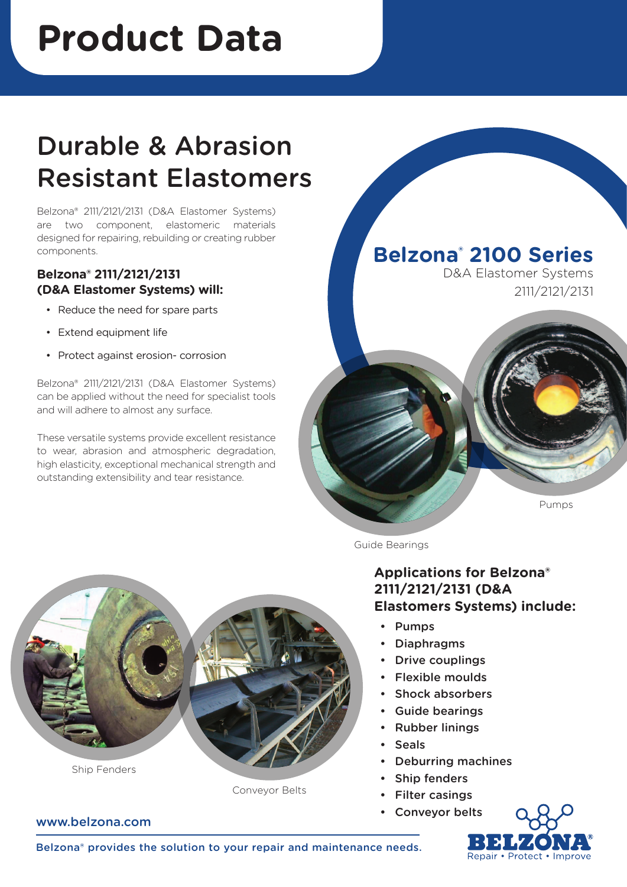# **Product Data**

# Durable & Abrasion Resistant Elastomers

Belzona® 2111/2121/2131 (D&A Elastomer Systems) are two component, elastomeric materials designed for repairing, rebuilding or creating rubber components.

#### **Belzona® 2111/2121/2131 (D&A Elastomer Systems) will:**

- Reduce the need for spare parts
- • Extend equipment life
- Protect against erosion- corrosion

Belzona® 2111/2121/2131 (D&A Elastomer Systems) can be applied without the need for specialist tools and will adhere to almost any surface.

These versatile systems provide excellent resistance to wear, abrasion and atmospheric degradation, high elasticity, exceptional mechanical strength and outstanding extensibility and tear resistance.

**Belzona® 2100 Series**

D&A Elastomer Systems 2111/2121/2131

#### Pumps

Guide Bearings

#### **Applications for Belzona® 2111/2121/2131 (D&A Elastomers Systems) include:**

- Pumps
- **Diaphragms**
- **Drive couplings**
- Flexible moulds
- Shock absorbers
- Guide bearings
- Rubber linings
- Seals
- Deburring machines
- Ship fenders
- **Filter casings**
- Conveyor belts





Conveyor Belts

#### www.belzona.com

Belzona® provides the solution to your repair and maintenance needs.